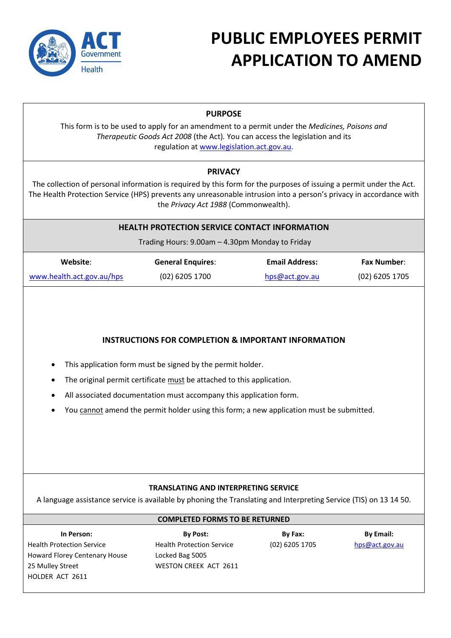

# **PUBLIC EMPLOYEES PERMIT APPLICATION TO AMEND**

# **PURPOSE**

This form is to be used to apply for an amendment to a permit under the *Medicines, Poisons and Therapeutic Goods Act 2008* (the Act)*.* You can access the legislation and its regulation a[t www.legislation.act.gov.au.](http://www.legislation.act.gov.au/)

# **PRIVACY**

The collection of personal information is required by this form for the purposes of issuing a permit under the Act. The Health Protection Service (HPS) prevents any unreasonable intrusion into a person's privacy in accordance with the *Privacy Act 1988* (Commonwealth).

## **HEALTH PROTECTION SERVICE CONTACT INFORMATION**

Trading Hours: 9.00am – 4.30pm Monday to Friday

| Website:                  | <b>General Enquires:</b> | <b>Email Address:</b> | <b>Fax Number:</b> |
|---------------------------|--------------------------|-----------------------|--------------------|
| www.health.act.gov.au/hps | (02) 6205 1700           | hps@act.gov.au        | $(02)$ 6205 1705   |

# **INSTRUCTIONS FOR COMPLETION & IMPORTANT INFORMATION**

- This application form must be signed by the permit holder.
- The original permit certificate must be attached to this application.
- All associated documentation must accompany this application form.
- You cannot amend the permit holder using this form; a new application must be submitted.

## **TRANSLATING AND INTERPRETING SERVICE**

A language assistance service is available by phoning the Translating and Interpreting Service (TIS) on 13 14 50.

## **COMPLETED FORMS TO BE RETURNED**

Health Protection Service Howard Florey Centenary House 25 Mulley Street HOLDER ACT 2611

**In Person: By Post: By Fax: By Email:** Health Protection Service Locked Bag 5005 WESTON CREEK ACT 2611

(02) 6205 1705 [hps@act.gov.au](mailto:hps@act.gov.au)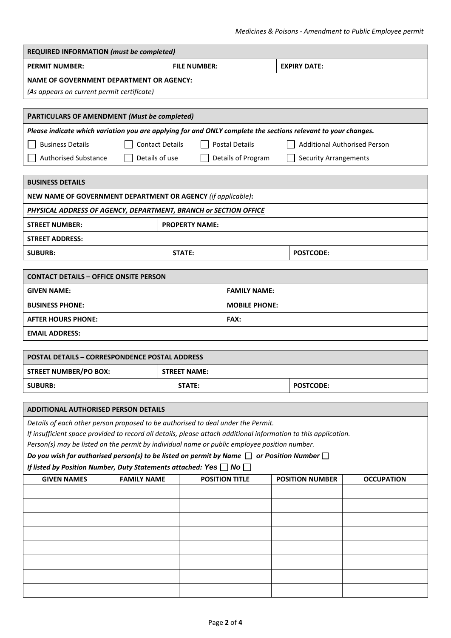| <b>REQUIRED INFORMATION (must be completed)</b>                                                                                                                                                      |                                   |                                   |                       |                        |                   |
|------------------------------------------------------------------------------------------------------------------------------------------------------------------------------------------------------|-----------------------------------|-----------------------------------|-----------------------|------------------------|-------------------|
| <b>PERMIT NUMBER:</b>                                                                                                                                                                                | <b>FILE NUMBER:</b>               |                                   | <b>EXPIRY DATE:</b>   |                        |                   |
| NAME OF GOVERNMENT DEPARTMENT OR AGENCY:<br>(As appears on current permit certificate)                                                                                                               |                                   |                                   |                       |                        |                   |
| <b>PARTICULARS OF AMENDMENT (Must be completed)</b>                                                                                                                                                  |                                   |                                   |                       |                        |                   |
| Please indicate which variation you are applying for and ONLY complete the sections relevant to your changes.                                                                                        |                                   |                                   |                       |                        |                   |
| <b>Postal Details</b><br><b>Business Details</b><br><b>Contact Details</b><br><b>Additional Authorised Person</b>                                                                                    |                                   |                                   |                       |                        |                   |
| Details of use<br><b>Authorised Substance</b><br>Details of Program<br><b>Security Arrangements</b>                                                                                                  |                                   |                                   |                       |                        |                   |
| <b>BUSINESS DETAILS</b>                                                                                                                                                                              |                                   |                                   |                       |                        |                   |
| NEW NAME OF GOVERNMENT DEPARTMENT OR AGENCY (if applicable):                                                                                                                                         |                                   |                                   |                       |                        |                   |
| PHYSICAL ADDRESS OF AGENCY, DEPARTMENT, BRANCH or SECTION OFFICE                                                                                                                                     |                                   |                                   |                       |                        |                   |
| <b>STREET NUMBER:</b>                                                                                                                                                                                |                                   | <b>PROPERTY NAME:</b>             |                       |                        |                   |
| <b>STREET ADDRESS:</b>                                                                                                                                                                               |                                   |                                   |                       |                        |                   |
| <b>SUBURB:</b>                                                                                                                                                                                       | <b>STATE:</b><br><b>POSTCODE:</b> |                                   |                       |                        |                   |
|                                                                                                                                                                                                      |                                   |                                   |                       |                        |                   |
| <b>CONTACT DETAILS - OFFICE ONSITE PERSON</b>                                                                                                                                                        |                                   |                                   |                       |                        |                   |
| <b>GIVEN NAME:</b>                                                                                                                                                                                   |                                   |                                   | <b>FAMILY NAME:</b>   |                        |                   |
| <b>BUSINESS PHONE:</b>                                                                                                                                                                               |                                   |                                   | <b>MOBILE PHONE:</b>  |                        |                   |
| <b>AFTER HOURS PHONE:</b>                                                                                                                                                                            |                                   |                                   | FAX:                  |                        |                   |
| <b>EMAIL ADDRESS:</b>                                                                                                                                                                                |                                   |                                   |                       |                        |                   |
| <b>POSTAL DETAILS - CORRESPONDENCE POSTAL ADDRESS</b>                                                                                                                                                |                                   |                                   |                       |                        |                   |
| <b>STREET NUMBER/PO BOX:</b>                                                                                                                                                                         |                                   | <b>STREET NAME:</b>               |                       |                        |                   |
| <b>SUBURB:</b>                                                                                                                                                                                       |                                   | <b>STATE:</b><br><b>POSTCODE:</b> |                       |                        |                   |
|                                                                                                                                                                                                      |                                   |                                   |                       |                        |                   |
| <b>ADDITIONAL AUTHORISED PERSON DETAILS</b>                                                                                                                                                          |                                   |                                   |                       |                        |                   |
| Details of each other person proposed to be authorised to deal under the Permit.                                                                                                                     |                                   |                                   |                       |                        |                   |
| If insufficient space provided to record all details, please attach additional information to this application.                                                                                      |                                   |                                   |                       |                        |                   |
| Person(s) may be listed on the permit by individual name or public employee position number.<br>Do you wish for authorised person(s) to be listed on permit by Name $\Box$ or Position Number $\Box$ |                                   |                                   |                       |                        |                   |
| If listed by Position Number, Duty Statements attached: Yes $\Box$ No $\Box$                                                                                                                         |                                   |                                   |                       |                        |                   |
| <b>GIVEN NAMES</b>                                                                                                                                                                                   | <b>FAMILY NAME</b>                |                                   | <b>POSITION TITLE</b> | <b>POSITION NUMBER</b> | <b>OCCUPATION</b> |
|                                                                                                                                                                                                      |                                   |                                   |                       |                        |                   |
|                                                                                                                                                                                                      |                                   |                                   |                       |                        |                   |
|                                                                                                                                                                                                      |                                   |                                   |                       |                        |                   |
|                                                                                                                                                                                                      |                                   |                                   |                       |                        |                   |
|                                                                                                                                                                                                      |                                   |                                   |                       |                        |                   |
|                                                                                                                                                                                                      |                                   |                                   |                       |                        |                   |
|                                                                                                                                                                                                      |                                   |                                   |                       |                        |                   |
|                                                                                                                                                                                                      |                                   |                                   |                       |                        |                   |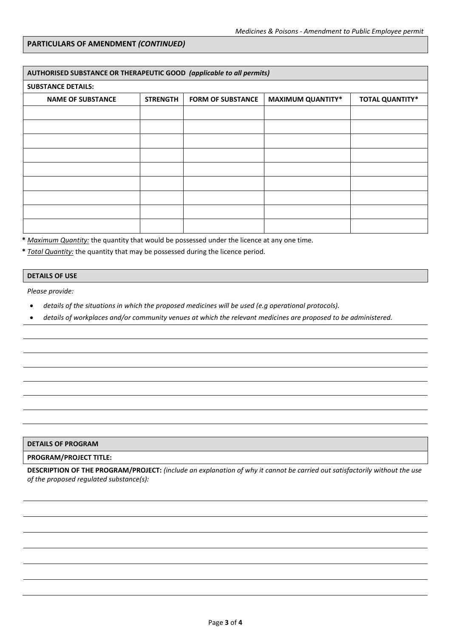## **PARTICULARS OF AMENDMENT** *(CONTINUED)*

| AUTHORISED SUBSTANCE OR THERAPEUTIC GOOD (applicable to all permits) |                 |                          |                          |                        |  |
|----------------------------------------------------------------------|-----------------|--------------------------|--------------------------|------------------------|--|
| <b>SUBSTANCE DETAILS:</b>                                            |                 |                          |                          |                        |  |
| <b>NAME OF SUBSTANCE</b>                                             | <b>STRENGTH</b> | <b>FORM OF SUBSTANCE</b> | <b>MAXIMUM QUANTITY*</b> | <b>TOTAL QUANTITY*</b> |  |
|                                                                      |                 |                          |                          |                        |  |
|                                                                      |                 |                          |                          |                        |  |
|                                                                      |                 |                          |                          |                        |  |
|                                                                      |                 |                          |                          |                        |  |
|                                                                      |                 |                          |                          |                        |  |
|                                                                      |                 |                          |                          |                        |  |
|                                                                      |                 |                          |                          |                        |  |
|                                                                      |                 |                          |                          |                        |  |
|                                                                      |                 |                          |                          |                        |  |

**\*** *Maximum Quantity:* the quantity that would be possessed under the licence at any one time.

**\*** *Total Quantity:* the quantity that may be possessed during the licence period.

#### **DETAILS OF USE**

*Please provide:*

- *details of the situations in which the proposed medicines will be used (e.g operational protocols).*
- *details of workplaces and/or community venues at which the relevant medicines are proposed to be administered.*

### **DETAILS OF PROGRAM**

## **PROGRAM/PROJECT TITLE:**

**DESCRIPTION OF THE PROGRAM/PROJECT:** *(include an explanation of why it cannot be carried out satisfactorily without the use of the proposed regulated substance(s):*